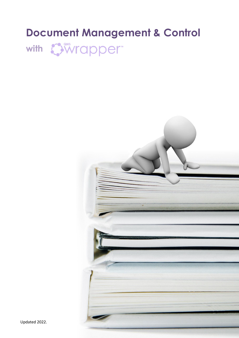# **Document Management & Control**



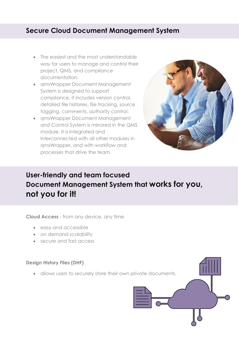# **Secure Cloud Document Management System**

- The easiest and the most understandable way for users to manage and control their project, QMS, and compliance documentation.
- qmsWrapper Document Management System is designed to support compliance, it includes version control, detailed file histories, file tracking, source tagging, comments, authority control.
- qmsWrapper Document Management and Control System is mirrored in the QMS module. It is integrated and interconnected with all other modules in qmsWrapper, and with workflow and processes that drive the team.



# **User-friendly and team focused Document Management System that works for you, not you for it!**

**Cloud Access** - from any device, any time

- easy and accessible
- on demand scalability
- secure and fast access

#### **Design History Files (DHF)**

• allows users to securely store their own private documents.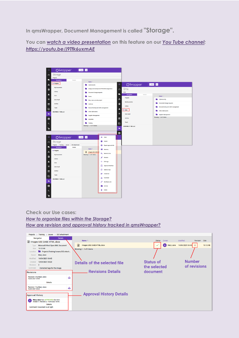**In qmsWrapper, Document Management is called "Storage".**

**You can** *[watch a video presentation](https://youtu.be/j9Tfk6uxmAE)* **on this feature on our** *[You Tube channel:](https://www.youtube.com/channel/UCqhz5YOC1cr7HbkJGLBSNoA) <https://youtu.be/j9Tfk6uxmAE>*



#### **Check our Use cases:** *[How to organize files within the Storage?](https://www.qmswrapper.com/use-cases/how-to-organize-files-within-the-storage)*

*[How are revision and approval history tracked in qmsWrapper?](https://www.qmswrapper.com/use-cases/how-are-revision-and-approval-history-tracked-in-qmswrapper)*

| Projects > Training > issues ><br>202 attachment                                         |                                     |  |                                 |                  |               |                    |                  |                |          |
|------------------------------------------------------------------------------------------|-------------------------------------|--|---------------------------------|------------------|---------------|--------------------|------------------|----------------|----------|
|                                                                                          | <b>Details</b><br>Navigation        |  |                                 |                  |               |                    |                  |                |          |
| ■ Images USE CASE HTML.docx                                                              |                                     |  | Name $\wedge$                   |                  | <b>Status</b> | Owner              | Modified         | Revision       | Size     |
| <b>Type</b>                                                                              | Microsoft Word Open XML Document    |  | Ռ<br>Images USE CASE HTML.docx  |                  |               | <b>A</b> Mary Jane | 14/04/2021 04:45 | $\overline{2}$ | 13.12 KB |
| <b>Size</b>                                                                              | 13.12 KB                            |  | Showing 1 - 1 of 1 items        |                  |               |                    |                  |                |          |
| Location                                                                                 | Projects/Training/issues/202 attach |  |                                 |                  |               |                    |                  |                |          |
| Owner                                                                                    | <b>Mary Jane</b>                    |  |                                 |                  |               |                    |                  |                |          |
| Modified                                                                                 | 14/04/2021 04:45                    |  |                                 |                  |               |                    |                  |                |          |
| Created                                                                                  | 13/04/2021 05:20                    |  | Details of the selected file    | <b>Status of</b> |               |                    | <b>Number</b>    |                |          |
| Revision                                                                                 | $\overline{2}$                      |  |                                 | the selected     |               |                    | of revisions     |                |          |
| Comment                                                                                  | Corrected tags for the image.       |  |                                 |                  |               |                    |                  |                |          |
| Revisions                                                                                |                                     |  | <b>Revisions Details</b>        |                  | document      |                    |                  |                |          |
| Revision 2 by Mary Jane<br>ٹ<br>14/04/2021 04:45                                         |                                     |  |                                 |                  |               |                    |                  |                |          |
| <b>Details</b>                                                                           |                                     |  |                                 |                  |               |                    |                  |                |          |
| Revision 1 by Mary Jane<br>ٹ<br>13/04/2021 05:20                                         |                                     |  |                                 |                  |               |                    |                  |                |          |
| <b>Approval History</b>                                                                  |                                     |  | <b>Approval History Details</b> |                  |               |                    |                  |                |          |
| Mary Jane has APPROVED the item<br>$\Delta$<br>Version 1   Revision 2   14/04/2021 04:46 |                                     |  |                                 |                  |               |                    |                  |                |          |
| <b>Details</b><br>Comment: Document is all right.                                        |                                     |  |                                 |                  |               |                    |                  |                |          |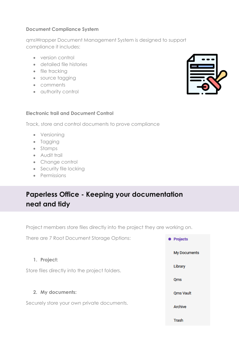### **Document Compliance System**

qmsWrapper Document Management System is designed to support compliance it includes:

- version control
- detailed file histories
- file tracking
- source tagging
- comments
- authority control

#### **Electronic trail and Document Control**

Track, store and control documents to prove compliance

- Versioning
- Tagging
- Stamps
- Audit trail
- Change control
- Security file locking
- Permissions

# **Paperless Office - Keeping your documentation neat and tidy**

Project members store files directly into the project they are working on.



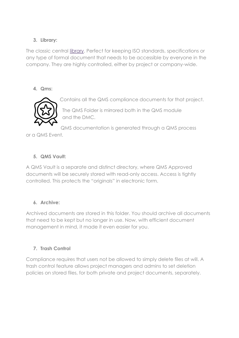### **3. Library:**

The classic central [library.](https://www.qmswrapper.com/blog/the-library-feature-for-the-rest-of-the-company) Perfect for keeping ISO standards, specifications or any type of formal document that needs to be accessible by everyone in the company. They are highly controlled, either by project or company-wide.

### **4. Qms:**



Contains all the QMS compliance documents for that project.

The QMS Folder is mirrored both in the QMS module and the DMC.

QMS documentation is generated through a QMS process

or a QMS Event.

## **5. QMS Vault:**

A QMS Vault is a separate and distinct directory, where QMS Approved documents will be securely stored with read-only access. Access is tightly controlled. This protects the "originals" in electronic form.

## **6. Archive:**

Archived documents are stored in this folder. You should archive all documents that need to be kept but no longer in use. Now, with efficient document management in mind, it made it even easier for you.

## **7. Trash Control**

Compliance requires that users not be allowed to simply delete files at will. A trash control feature allows project managers and admins to set deletion policies on stored files, for both private and project documents, separately.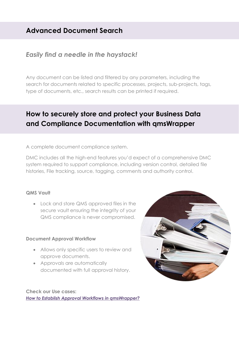# **Advanced Document Search**

# *Easily find a needle in the haystack!*

Any document can be listed and filtered by any parameters, including the search for documents related to specific processes, projects, sub-projects, tags, type of documents, etc., search results can be printed if required.

# **How to securely store and protect your Business Data and Compliance Documentation with qmsWrapper**

A complete document compliance system.

DMC includes all the high-end features you'd expect of a comprehensive DMC system required to support compliance, including version control, detailed file histories, File tracking, source, tagging, comments and authority control.

#### **QMS Vault**

 Lock and store QMS approved files in the secure vault ensuring the integrity of your QMS compliance is never compromised.

#### **Document Approval Workflow**

- Allows only specific users to review and approve documents.
- Approvals are automatically documented with full approval history.